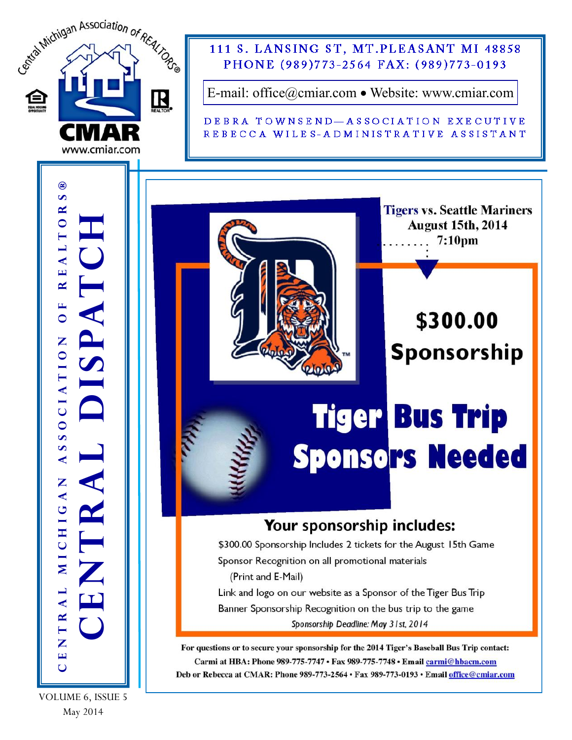

**August 15th, 2014**  $7:10<sub>pm</sub>$ 

\$300.00

**Sponsorship** 

VOLUME 6, ISSUE 5 May 2014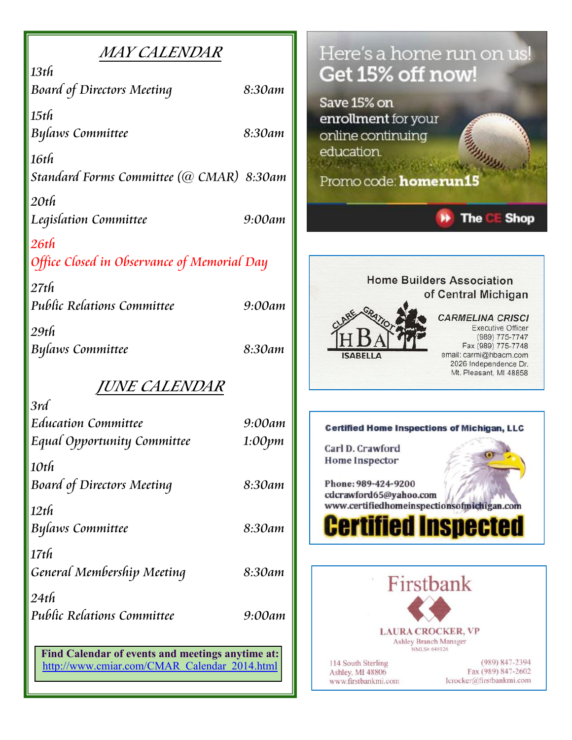| <i>MAY CALENDAR</i>                              |        | Here's a home run on us!                                                           |
|--------------------------------------------------|--------|------------------------------------------------------------------------------------|
| $13t$ h                                          |        | Get 15% off now!                                                                   |
| <b>Board of Directors Meeting</b>                | 8:30am |                                                                                    |
| $15$ th                                          |        | Save 15% on                                                                        |
| <b>Bylaws Committee</b>                          | 8:30am | enrollment for your<br>online continuing                                           |
|                                                  |        | education.                                                                         |
| 16th<br>Standard Forms Committee (@ CMAR) 8:30am |        |                                                                                    |
|                                                  |        | Promo code: homerun15                                                              |
| $20t$ h                                          |        |                                                                                    |
| Legislation Committee                            | 9:00am | <b>The</b><br><b>Shop</b><br>CF                                                    |
| $26t$ h                                          |        |                                                                                    |
| Office Closed in Observance of Memorial Day      |        |                                                                                    |
| $27t$ h                                          |        | <b>Home Builders Association</b>                                                   |
| Public Relations Committee                       | 9:00am | of Central Michigan                                                                |
| 29th                                             |        | <b>CARMELINA CRISCI</b><br><b>Executive Officer</b>                                |
| Bylaws Committee                                 | 8:30am | (989) 775-7747<br>Fax (989) 775-7748                                               |
|                                                  |        | email: carmi@hbacm.com<br><b>ISABELLA</b><br>2026 Independence Dr.                 |
| <i>JUNE CALENDAR</i>                             |        | Mt. Pleasant, MI 48858                                                             |
| 3rd                                              |        |                                                                                    |
| <b>Education Committee</b>                       | 9:00am | <b>Certified Home Inspections of Michigan, LLC</b>                                 |
| Equal Opportunity Committee                      | 1:00pm | Carl D. Crawford                                                                   |
| 10th                                             |        | Home Inspector                                                                     |
| <b>Board of Directors Meeting</b>                | 8:30am | Phone: 989-424-9200                                                                |
|                                                  |        | cdcrawford65@yahoo.com<br>www.certifiedhomeinspectionsofmichigan.com               |
| $12t$ h                                          |        |                                                                                    |
| <b>Bylaws Committee</b>                          | 8:30am | <b>Certified Inspected</b>                                                         |
| $17t$ h                                          |        |                                                                                    |
| General Membership Meeting                       | 8:30am |                                                                                    |
| 24th                                             |        | Firstbank                                                                          |
| <b>Public Relations Committee</b>                | 9:00am |                                                                                    |
|                                                  |        | <b>LAURA CROCKER, VP</b>                                                           |
| Find Calendar of events and meetings anytime at: |        | Ashley Branch Manager<br>NMLS# 648126                                              |
| http://www.cmiar.com/CMAR_Calendar_2014.html     |        | $(989) 847 - 2394$<br>114 South Sterling<br>Fax (989) 847-2602<br>Ashley, MI 48806 |
|                                                  |        | lcrocker@firstbankmi.com<br>www.firstbankmi.com                                    |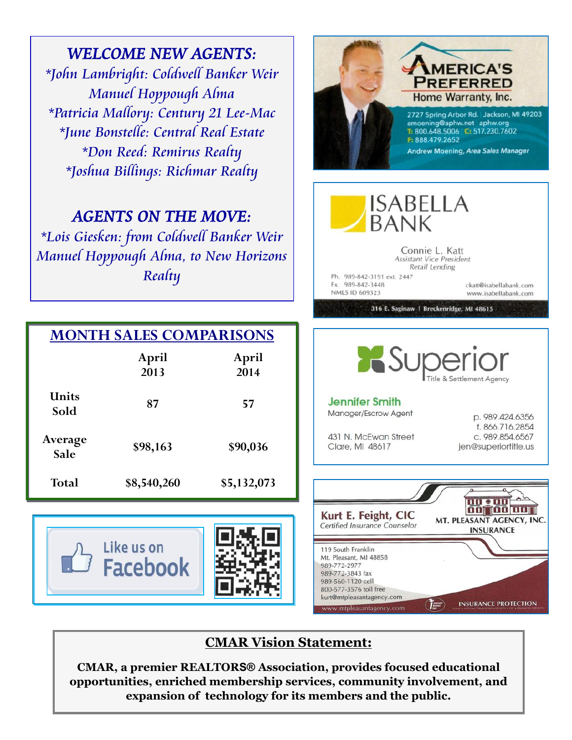*WELCOME NEW AGENTS: \*John Lambright: Coldwell Banker Weir Manuel Hoppough Alma \*Patricia Mallory: Century 21 Lee-Mac \*June Bonstelle: Central Real Estate \*Don Reed: Remirus Realty \*Joshua Billings: Richmar Realty*

## *AGENTS ON THE MOVE:*

*\*Lois Giesken: from Coldwell Banker Weir Manuel Hoppough Alma, to New Horizons Realty*

| <b>MONTH SALES COMPARISONS</b> |               |               |  |
|--------------------------------|---------------|---------------|--|
|                                | April<br>2013 | April<br>2014 |  |
| <b>IInits</b><br>Sold          | 87            | 57            |  |
| Average<br>Sale                | \$98,163      | \$90,036      |  |
| <b>Total</b>                   | \$8,540,260   | \$5,132,073   |  |

Like us on

**Facebook** 



kurt@mtpleasantagency.com

mtpleasantagency.com

**IMERICA'S PREFERRED** Home Warranty, Inc.

F: 888.479.2652

**ISABELLA** 

**BANK** 

2727 Spring Arbor Rd. Jackson, MI 49203 amoening@aphw.net aphw.org T: 800.648.5006 C: 517.230.7602

Andrew Moening, Area Sales Manager

**INSURANCE PROTECTION** 

 $\overline{C}$ 

### **CMAR Vision Statement:**

**CMAR, a premier REALTORS® Association, provides focused educational opportunities, enriched membership services, community involvement, and expansion of technology for its members and the public.**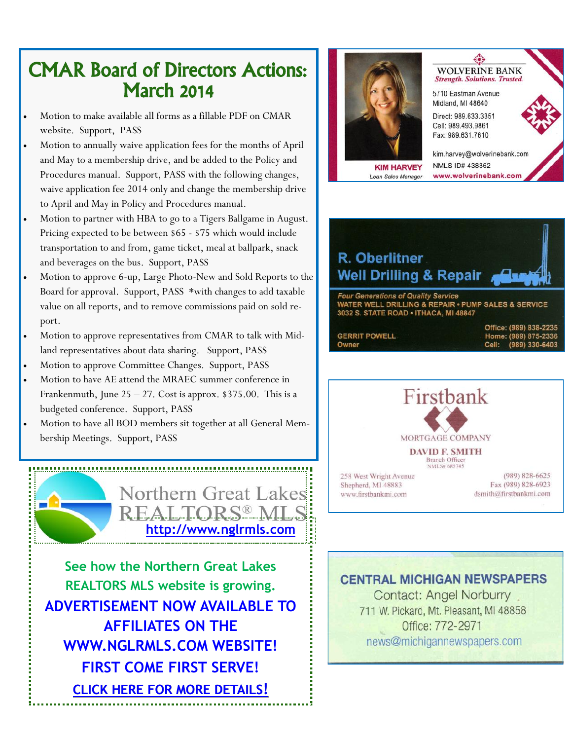## CMAR Board of Directors Actions: March 2014

- Motion to make available all forms as a fillable PDF on CMAR website. Support, PASS
- Motion to annually waive application fees for the months of April and May to a membership drive, and be added to the Policy and Procedures manual. Support, PASS with the following changes, waive application fee 2014 only and change the membership drive to April and May in Policy and Procedures manual.
- Motion to partner with HBA to go to a Tigers Ballgame in August. Pricing expected to be between \$65 - \$75 which would include transportation to and from, game ticket, meal at ballpark, snack and beverages on the bus. Support, PASS
- Motion to approve 6-up, Large Photo-New and Sold Reports to the Board for approval. Support, PASS \*with changes to add taxable value on all reports, and to remove commissions paid on sold report.
- Motion to approve representatives from CMAR to talk with Midland representatives about data sharing. Support, PASS
- Motion to approve Committee Changes. Support, PASS
- Motion to have AE attend the MRAEC summer conference in Frankenmuth, June  $25 - 27$ . Cost is approx. \$375.00. This is a budgeted conference. Support, PASS
- Motion to have all BOD members sit together at all General Membership Meetings. Support, PASS



**See how the Northern Great Lakes REALTORS MLS website is growing. ADVERTISEMENT NOW AVAILABLE TO AFFILIATES ON THE WWW.NGLRMLS.COM WEBSITE! FIRST COME FIRST SERVE! [CLICK HERE FOR MORE DETAILS](http://www.cmiar.com/NGLRMLS_Website_Advertising_Info.pdf)!**



**KIM HARVEY** Loan Sales Manager

**WOLVERINE BANK Strength. Solutions. Trusted.** 5710 Eastman Avenue Midland, MI 48640 Direct: 989.633.3351 Cell: 989.493.9861 Fax: 989.631.7610

kim.harvey@wolverinebank.com NMLS ID# 438362 www.wolverinebank.com



|                      | OTTICE: (a0a) 000-TTOD |
|----------------------|------------------------|
| <b>GERRIT POWELL</b> | Home: (989) 875-2336   |
| Owner                | Cell: (989) 330-6403   |



#### **CENTRAL MICHIGAN NEWSPAPERS**

**Contact: Angel Norburry** 711 W. Pickard, Mt. Pleasant, MI 48858 Office: 772-2971 news@michigannewspapers.com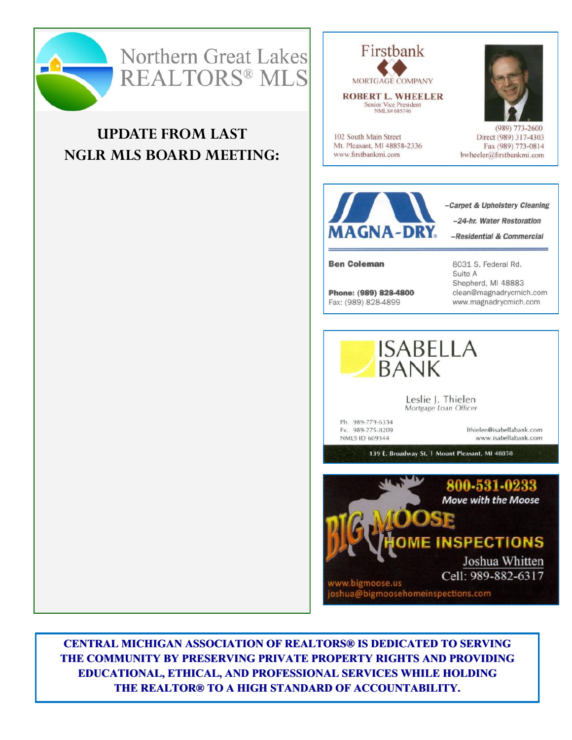

# Northern Great Lakes **REALTORS® MLS**

### **UPDATE FROM LAST NGLR MLS BOARD MEETING:**



**ROBERT L. WHEELER** Senior Vice President<br>NMLS# 685746

102 South Main Street

www.firstbankmi.com

Mt. Pleasant, MI 48858-2336



 $(989)$  773-2600 Direct (989) 317-4303 Fax (989) 773-0814 bwheeler@firstbankmi.com



**Ben Coleman** 

Phone: (989) 828-4800 Fax: (989) 828-4899

8031 S. Federal Rd. Suite A Shepherd, MI 48883 clean@magnadrycmich.com www.magnadrycmich.com



Leslie J. Thielen Mortgage Loan Officer

Ph. 989-779-6334 Fx. 989-775-8209 NMLS ID 609344

Ithielen@isabellabank.com www.isabellabank.com

139 E. Broadway St. | Mount Pleasant, MI 48858



**CENTRAL MICHIGAN ASSOCIATION OF REALTORS® IS DEDICATED TO SERVING** THE COMMUNITY BY PRESERVING PRIVATE PROPERTY RIGHTS AND PROVIDING **EDUCATIONAL, ETHICAL, AND PROFESSIONAL SERVICES WHILE HOLDING** THE REALTOR® TO A HIGH STANDARD OF ACCOUNTABILITY.